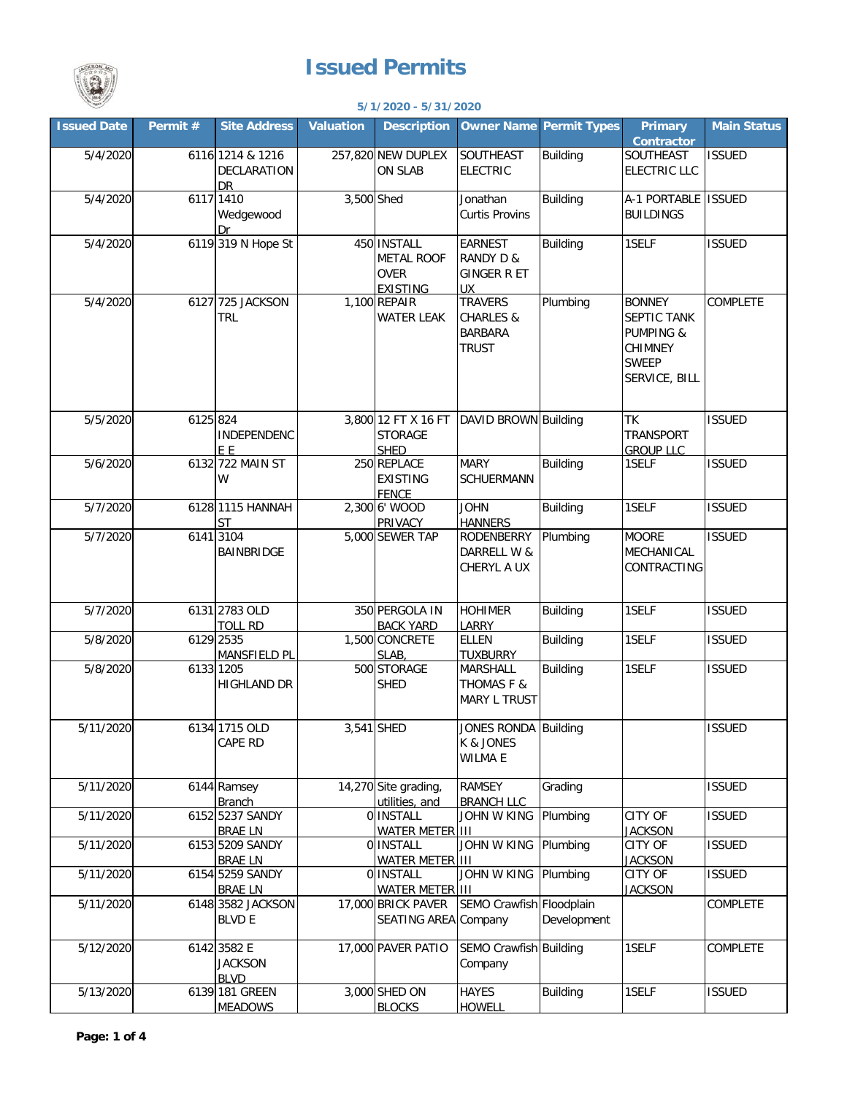## **Issued Permits**



## **5/1/2020 - 5/31/2020**

|                    |          |                                              |                  | 37 17 ZUZU - 37 3 17 ZUZU                                          |                                                                          |                 |                                                                                                         |                    |
|--------------------|----------|----------------------------------------------|------------------|--------------------------------------------------------------------|--------------------------------------------------------------------------|-----------------|---------------------------------------------------------------------------------------------------------|--------------------|
| <b>Issued Date</b> | Permit # | <b>Site Address</b>                          | <b>Valuation</b> | <b>Description</b>                                                 | <b>Owner Name Permit Types</b>                                           |                 | <b>Primary</b><br>Contractor                                                                            | <b>Main Status</b> |
| 5/4/2020           |          | 6116 1214 & 1216<br>DECLARATION<br>DR.       |                  | 257,820 NEW DUPLEX<br><b>ON SLAB</b>                               | SOUTHEAST<br><b>ELECTRIC</b>                                             | <b>Building</b> | SOUTHEAST<br><b>ELECTRIC LLC</b>                                                                        | <b>ISSUED</b>      |
| 5/4/2020           |          | 6117 1410<br>Wedgewood<br>Dr                 | 3,500 Shed       |                                                                    | Jonathan<br><b>Curtis Provins</b>                                        | <b>Building</b> | A-1 PORTABLE ISSUED<br><b>BUILDINGS</b>                                                                 |                    |
| 5/4/2020           |          | 6119 319 N Hope St                           |                  | 450 INSTALL<br><b>METAL ROOF</b><br><b>OVER</b><br><b>EXISTING</b> | <b>EARNEST</b><br>RANDY D &<br><b>GINGER R ET</b><br><b>UX</b>           | <b>Building</b> | 1SELF                                                                                                   | <b>ISSUED</b>      |
| 5/4/2020           |          | 6127 725 JACKSON<br><b>TRL</b>               |                  | 1,100 REPAIR<br><b>WATER LEAK</b>                                  | <b>TRAVERS</b><br><b>CHARLES &amp;</b><br><b>BARBARA</b><br><b>TRUST</b> | Plumbing        | <b>BONNEY</b><br>SEPTIC TANK<br><b>PUMPING &amp;</b><br><b>CHIMNEY</b><br><b>SWEEP</b><br>SERVICE, BILL | COMPLETE           |
| 5/5/2020           | 6125 824 | INDEPENDENC<br>E E                           |                  | 3,800 12 FT X 16 FT<br><b>STORAGE</b><br><b>SHED</b>               | DAVID BROWN Building                                                     |                 | <b>TK</b><br><b>TRANSPORT</b><br><b>GROUP LLC</b>                                                       | <b>ISSUED</b>      |
| 5/6/2020           |          | 6132 722 MAIN ST<br>W                        |                  | 250 REPLACE<br><b>EXISTING</b><br><b>FENCE</b>                     | <b>MARY</b><br>SCHUERMANN                                                | <b>Building</b> | 1SELF                                                                                                   | <b>ISSUED</b>      |
| 5/7/2020           |          | 6128 1115 HANNAH<br>ST                       |                  | 2,300 6' WOOD<br>PRIVACY                                           | <b>JOHN</b><br><b>HANNERS</b>                                            | <b>Building</b> | 1SELF                                                                                                   | <b>ISSUED</b>      |
| 5/7/2020           |          | 6141 3104<br>BAINBRIDGE                      |                  | 5,000 SEWER TAP                                                    | RODENBERRY<br>DARRELL W &<br>CHERYL A UX                                 | Plumbing        | <b>MOORE</b><br>MECHANICAL<br>CONTRACTING                                                               | <b>ISSUED</b>      |
| 5/7/2020           |          | 6131 2783 OLD<br><b>TOLL RD</b>              |                  | 350 PERGOLA IN<br><b>BACK YARD</b>                                 | <b>HOHIMER</b><br>LARRY                                                  | <b>Building</b> | 1SELF                                                                                                   | <b>ISSUED</b>      |
| 5/8/2020           |          | 6129 2535<br><b>MANSFIELD PL</b>             |                  | 1,500 CONCRETE<br>SLAB,                                            | ELLEN<br><b>TUXBURRY</b>                                                 | <b>Building</b> | 1SELF                                                                                                   | <b>ISSUED</b>      |
| 5/8/2020           |          | 6133 1205<br><b>HIGHLAND DR</b>              |                  | 500 STORAGE<br><b>SHED</b>                                         | <b>MARSHALL</b><br><b>THOMAS F &amp;</b><br>MARY L TRUST                 | <b>Building</b> | 1SELF                                                                                                   | <b>ISSUED</b>      |
| 5/11/2020          |          | 6134 1715 OLD<br><b>CAPE RD</b>              |                  | 3,541 SHED                                                         | JONES RONDA Building<br>K & JONES<br><b>WILMA E</b>                      |                 |                                                                                                         | <b>ISSUED</b>      |
| 5/11/2020          |          | 6144 Ramsey<br><b>Branch</b>                 |                  | 14,270 Site grading,<br>utilities, and                             | RAMSEY<br><b>BRANCH LLC</b>                                              | Grading         |                                                                                                         | <b>ISSUED</b>      |
| 5/11/2020          |          | 6152 5237 SANDY<br><b>BRAE LN</b>            |                  | 0 INSTALL<br><b>WATER METER III</b>                                | <b>JOHN W KING</b>                                                       | Plumbing        | CITY OF<br><b>JACKSON</b>                                                                               | <b>ISSUED</b>      |
| 5/11/2020          |          | 6153 5209 SANDY<br><b>BRAE LN</b>            |                  | 0 INSTALL<br>WATER METER III                                       | <b>JOHN W KING</b>                                                       | Plumbing        | CITY OF<br><b>JACKSON</b>                                                                               | <b>ISSUED</b>      |
| 5/11/2020          |          | 6154 5259 SANDY<br><b>BRAE LN</b>            |                  | 0 INSTALL<br><b>WATER METER III</b>                                | <b>JOHN W KING</b>                                                       | Plumbing        | CITY OF<br><b>JACKSON</b>                                                                               | <b>ISSUED</b>      |
| 5/11/2020          |          | 6148 3582 JACKSON<br><b>BLVD E</b>           |                  | 17,000 BRICK PAVER<br>SEATING AREA Company                         | SEMO Crawfish Floodplain                                                 | Development     |                                                                                                         | COMPLETE           |
| 5/12/2020          |          | 6142 3582 E<br><b>JACKSON</b><br><b>BLVD</b> |                  | 17,000 PAVER PATIO                                                 | SEMO Crawfish Building<br>Company                                        |                 | 1SELF                                                                                                   | <b>COMPLETE</b>    |
| 5/13/2020          |          | 6139 181 GREEN<br><b>MEADOWS</b>             |                  | 3,000 SHED ON<br><b>BLOCKS</b>                                     | <b>HAYES</b><br><b>HOWELL</b>                                            | <b>Building</b> | 1SELF                                                                                                   | <b>ISSUED</b>      |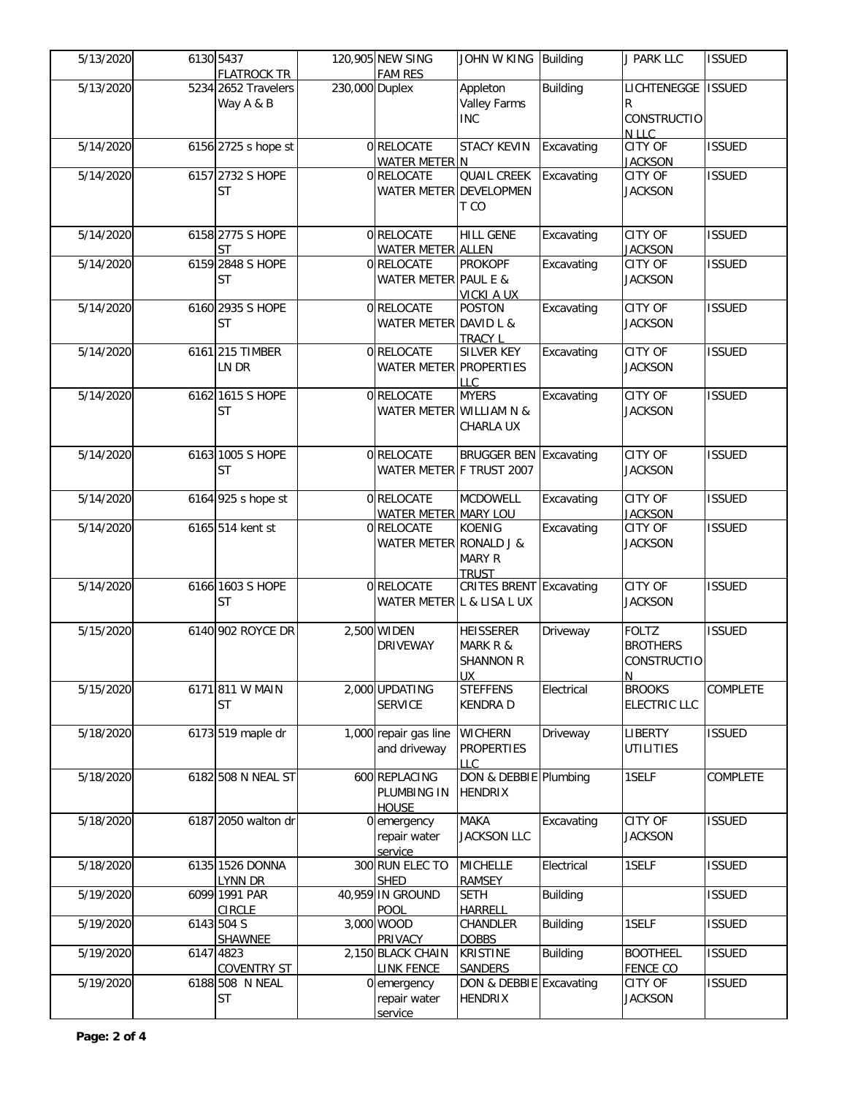| 5/13/2020 | 6130 5437<br><b>FLATROCK TR</b>  |                | 120,905 NEW SING<br><b>FAM RES</b>           | JOHN W KING Building                                   |                 | <b>J PARK LLC</b>                                           | <b>ISSUED</b> |
|-----------|----------------------------------|----------------|----------------------------------------------|--------------------------------------------------------|-----------------|-------------------------------------------------------------|---------------|
| 5/13/2020 | 5234 2652 Travelers<br>Way A & B | 230,000 Duplex |                                              | Appleton<br><b>Valley Farms</b><br><b>INC</b>          | <b>Building</b> | LICHTENEGGE<br>R<br><b>CONSTRUCTIO</b>                      | <b>ISSUED</b> |
| 5/14/2020 | 6156 2725 s hope st              |                | 0 RELOCATE<br>WATER METER N                  | <b>STACY KEVIN</b>                                     | Excavating      | N LLC<br><b>CITY OF</b><br><b>JACKSON</b>                   | <b>ISSUED</b> |
| 5/14/2020 | 6157 2732 S HOPE<br>ST           |                | 0 RELOCATE<br>WATER METER DEVELOPMEN         | <b>QUAIL CREEK</b><br>T CO                             | Excavating      | CITY OF<br><b>JACKSON</b>                                   | <b>ISSUED</b> |
| 5/14/2020 | 6158 2775 S HOPE<br><b>ST</b>    |                | 0 RELOCATE<br><b>WATER METER ALLEN</b>       | <b>HILL GENE</b>                                       | Excavating      | CITY OF<br><b>JACKSON</b>                                   | <b>ISSUED</b> |
| 5/14/2020 | 6159 2848 S HOPE<br><b>ST</b>    |                | 0 RELOCATE<br>WATER METER PAUL E &           | <b>PROKOPF</b><br><b>VICKI A UX</b>                    | Excavating      | CITY OF<br><b>JACKSON</b>                                   | <b>ISSUED</b> |
| 5/14/2020 | 6160 2935 S HOPE<br><b>ST</b>    |                | 0 RELOCATE<br>WATER METER DAVID L &          | <b>POSTON</b><br><b>TRACY L</b>                        | Excavating      | CITY OF<br><b>JACKSON</b>                                   | <b>ISSUED</b> |
| 5/14/2020 | 6161 215 TIMBER<br>LN DR         |                | 0 RELOCATE<br>WATER METER PROPERTIES         | <b>SILVER KEY</b><br>LLC                               | Excavating      | <b>CITY OF</b><br><b>JACKSON</b>                            | <b>ISSUED</b> |
| 5/14/2020 | 6162 1615 S HOPE<br><b>ST</b>    |                | 0 RELOCATE<br>WATER METER WILLIAM N &        | <b>MYERS</b><br>CHARLA UX                              | Excavating      | <b>CITY OF</b><br><b>JACKSON</b>                            | <b>ISSUED</b> |
| 5/14/2020 | 6163 1005 S HOPE<br><b>ST</b>    |                | 0 RELOCATE<br>WATER METER F TRUST 2007       | <b>BRUGGER BEN</b>                                     | Excavating      | <b>CITY OF</b><br><b>JACKSON</b>                            | <b>ISSUED</b> |
| 5/14/2020 | 6164 925 s hope st               |                | 0 RELOCATE<br>WATER METER MARY LOU           | <b>MCDOWELL</b>                                        | Excavating      | <b>CITY OF</b><br><b>JACKSON</b>                            | <b>ISSUED</b> |
| 5/14/2020 | 6165 514 kent st                 |                | 0 RELOCATE<br>WATER METER RONALD J &         | <b>KOENIG</b><br><b>MARY R</b><br><b>TRUST</b>         | Excavating      | CITY OF<br><b>JACKSON</b>                                   | <b>ISSUED</b> |
| 5/14/2020 | 6166 1603 S HOPE<br><b>ST</b>    |                | 0 RELOCATE<br>WATER METER L & LISA L UX      | <b>CRITES BRENT Excavating</b>                         |                 | <b>CITY OF</b><br><b>JACKSON</b>                            | <b>ISSUED</b> |
| 5/15/2020 | 6140 902 ROYCE DR                |                | 2,500 WIDEN<br><b>DRIVEWAY</b>               | <b>HEISSERER</b><br>MARK R &<br><b>SHANNON R</b><br>UX | Driveway        | <b>FOLTZ</b><br><b>BROTHERS</b><br><b>CONSTRUCTIO</b><br>N. | <b>ISSUED</b> |
| 5/15/2020 | 6171 811 W MAIN<br><b>ST</b>     |                | 2,000 UPDATING<br><b>SERVICE</b>             | <b>STEFFENS</b><br><b>KENDRA D</b>                     | Electrical      | <b>BROOKS</b><br><b>ELECTRIC LLC</b>                        | COMPLETE      |
| 5/18/2020 | 6173 519 maple dr                |                | 1,000 repair gas line<br>and driveway        | <b>WICHERN</b><br><b>PROPERTIES</b><br><b>LLC</b>      | Driveway        | LIBERTY<br><b>UTILITIES</b>                                 | <b>ISSUED</b> |
| 5/18/2020 | 6182 508 N NEAL ST               |                | 600 REPLACING<br>PLUMBING IN<br><b>HOUSE</b> | DON & DEBBIE Plumbing<br><b>HENDRIX</b>                |                 | 1SELF                                                       | COMPLETE      |
| 5/18/2020 | 6187 2050 walton dr              |                | 0 emergency<br>repair water<br>service       | <b>MAKA</b><br><b>JACKSON LLC</b>                      | Excavating      | <b>CITY OF</b><br><b>JACKSON</b>                            | <b>ISSUED</b> |
| 5/18/2020 | 6135 1526 DONNA<br>LYNN DR       |                | 300 RUN ELEC TO<br><b>SHED</b>               | <b>MICHELLE</b><br><b>RAMSEY</b>                       | Electrical      | 1SELF                                                       | <b>ISSUED</b> |
| 5/19/2020 | 6099 1991 PAR<br><b>CIRCLE</b>   |                | 40,959 IN GROUND<br>POOL                     | <b>SETH</b><br><b>HARRELL</b>                          | <b>Building</b> |                                                             | <b>ISSUED</b> |
| 5/19/2020 | 6143 504 S<br>SHAWNEE            |                | 3,000 WOOD<br>PRIVACY                        | CHANDLER<br><b>DOBBS</b>                               | <b>Building</b> | 1SELF                                                       | <b>ISSUED</b> |
| 5/19/2020 | 6147 4823<br><b>COVENTRY ST</b>  |                | 2,150 BLACK CHAIN<br><b>LINK FENCE</b>       | <b>KRISTINE</b><br><b>SANDERS</b>                      | <b>Building</b> | <b>BOOTHEEL</b><br><b>FENCE CO</b>                          | <b>ISSUED</b> |
| 5/19/2020 | 6188 508 N NEAL<br>ST            |                | 0 emergency<br>repair water<br>service       | DON & DEBBIE Excavating<br><b>HENDRIX</b>              |                 | CITY OF<br><b>JACKSON</b>                                   | <b>ISSUED</b> |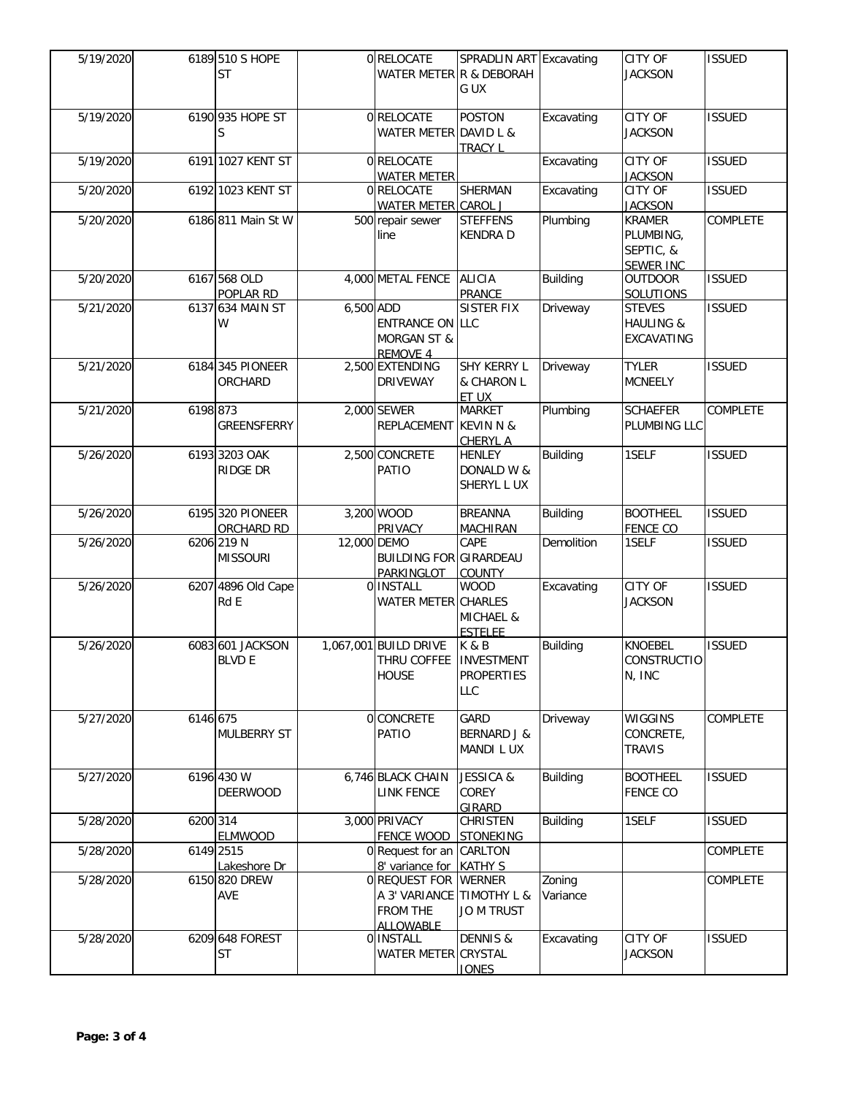| 5/19/2020 |          | 6189 510 S HOPE<br><b>ST</b>      |             | 0 RELOCATE<br>WATER METER R & DEBORAH                                 | SPRADLIN ART Excavating<br>G UX                              |                    | CITY OF<br><b>JACKSON</b>                                   | <b>ISSUED</b>   |
|-----------|----------|-----------------------------------|-------------|-----------------------------------------------------------------------|--------------------------------------------------------------|--------------------|-------------------------------------------------------------|-----------------|
| 5/19/2020 |          | 6190 935 HOPE ST<br>S             |             | 0 RELOCATE<br>WATER METER DAVID L &                                   | <b>POSTON</b><br><b>TRACY L</b>                              | Excavating         | CITY OF<br><b>JACKSON</b>                                   | <b>ISSUED</b>   |
| 5/19/2020 |          | 6191 1027 KENT ST                 |             | 0 RELOCATE<br><b>WATER METER</b>                                      |                                                              | Excavating         | <b>CITY OF</b><br><b>JACKSON</b>                            | <b>ISSUED</b>   |
| 5/20/2020 |          | 6192 1023 KENT ST                 |             | 0 RELOCATE<br><b>WATER METER CAROL J</b>                              | <b>SHERMAN</b>                                               | Excavating         | CITY OF<br><b>JACKSON</b>                                   | <b>ISSUED</b>   |
| 5/20/2020 |          | 6186 811 Main St W                |             | 500 repair sewer<br>line                                              | <b>STEFFENS</b><br><b>KENDRA D</b>                           | Plumbing           | <b>KRAMER</b><br>PLUMBING,<br>SEPTIC, &<br><b>SEWER INC</b> | <b>COMPLETE</b> |
| 5/20/2020 |          | 6167 568 OLD<br>POPLAR RD         |             | 4,000 METAL FENCE                                                     | <b>ALICIA</b><br><b>PRANCE</b>                               | <b>Building</b>    | <b>OUTDOOR</b><br>SOLUTIONS                                 | <b>ISSUED</b>   |
| 5/21/2020 |          | 6137 634 MAIN ST<br>W             | 6,500 ADD   | <b>ENTRANCE ON LLC</b><br><b>MORGAN ST &amp;</b><br>REMOVE 4          | <b>SISTER FIX</b>                                            | Driveway           | <b>STEVES</b><br><b>HAULING &amp;</b><br><b>EXCAVATING</b>  | <b>ISSUED</b>   |
| 5/21/2020 |          | 6184 345 PIONEER<br>ORCHARD       |             | 2,500 EXTENDING<br><b>DRIVEWAY</b>                                    | SHY KERRY L<br>& CHARON L<br>ET UX                           | Driveway           | <b>TYLER</b><br><b>MCNEELY</b>                              | <b>ISSUED</b>   |
| 5/21/2020 | 6198 873 | GREENSFERRY                       |             | 2,000 SEWER<br>REPLACEMENT                                            | <b>MARKET</b><br><b>KEVINN&amp;</b><br><b>CHERYL A</b>       | Plumbing           | <b>SCHAEFER</b><br>PLUMBING LLC                             | COMPLETE        |
| 5/26/2020 |          | 6193 3203 OAK<br>RIDGE DR         |             | 2,500 CONCRETE<br>PATIO                                               | <b>HENLEY</b><br>DONALD W &<br>SHERYL L UX                   | <b>Building</b>    | 1SELF                                                       | <b>ISSUED</b>   |
| 5/26/2020 |          | 6195 320 PIONEER<br>ORCHARD RD    |             | 3,200 WOOD<br>PRIVACY                                                 | <b>BREANNA</b><br>MACHIRAN                                   | <b>Building</b>    | <b>BOOTHEEL</b><br><b>FENCE CO</b>                          | <b>ISSUED</b>   |
| 5/26/2020 |          | 6206 219 N<br><b>MISSOURI</b>     | 12,000 DEMO | <b>BUILDING FOR GIRARDEAU</b><br>PARKINGLOT                           | CAPE<br><b>COUNTY</b>                                        | Demolition         | 1SELF                                                       | <b>ISSUED</b>   |
| 5/26/2020 |          | 6207 4896 Old Cape<br>Rd E        |             | 0 INSTALL<br>WATER METER CHARLES                                      | <b>WOOD</b><br>MICHAEL &<br><b>ESTELEE</b>                   | Excavating         | <b>CITY OF</b><br><b>JACKSON</b>                            | <b>ISSUED</b>   |
| 5/26/2020 |          | 6083 601 JACKSON<br><b>BLVD E</b> |             | 1,067,001 BUILD DRIVE<br>THRU COFFEE<br><b>HOUSE</b>                  | K&B<br><b>INVESTMENT</b><br><b>PROPERTIES</b><br>LLC         | <b>Building</b>    | <b>KNOEBEL</b><br><b>CONSTRUCTIO</b><br>N, INC              | <b>ISSUED</b>   |
| 5/27/2020 | 6146 675 | <b>MULBERRY ST</b>                |             | 0 CONCRETE<br>PATIO                                                   | GARD<br><b>BERNARD J &amp;</b><br>MANDI LUX                  | Driveway           | <b>WIGGINS</b><br>CONCRETE,<br><b>TRAVIS</b>                | <b>COMPLETE</b> |
| 5/27/2020 |          | 6196 430 W<br><b>DEERWOOD</b>     |             | 6,746 BLACK CHAIN<br><b>LINK FENCE</b>                                | <b>JESSICA &amp;</b><br>COREY<br><b>GIRARD</b>               | <b>Building</b>    | <b>BOOTHEEL</b><br><b>FENCE CO</b>                          | <b>ISSUED</b>   |
| 5/28/2020 | 6200 314 | ELMWOOD                           |             | 3,000 PRIVACY<br><b>FENCE WOOD</b>                                    | CHRISTEN<br><b>STONEKING</b>                                 | <b>Building</b>    | 1SELF                                                       | <b>ISSUED</b>   |
| 5/28/2020 |          | 6149 2515<br>Lakeshore Dr         |             | 0 Request for an CARLTON<br>8' variance for                           | <b>KATHY S</b>                                               |                    |                                                             | COMPLETE        |
| 5/28/2020 |          | 6150 820 DREW<br>AVE              |             | 0 REQUEST FOR<br>A 3' VARIANCE<br><b>FROM THE</b><br><b>ALLOWABLE</b> | <b>WERNER</b><br><b>TIMOTHY L &amp;</b><br><b>JO M TRUST</b> | Zoning<br>Variance |                                                             | COMPLETE        |
| 5/28/2020 |          | 6209 648 FOREST<br><b>ST</b>      |             | 0 INSTALL<br>WATER METER CRYSTAL                                      | <b>DENNIS &amp;</b><br><b>JONES</b>                          | Excavating         | CITY OF<br><b>JACKSON</b>                                   | <b>ISSUED</b>   |